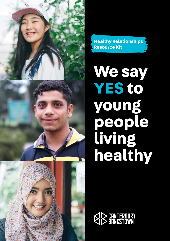**Healthy Relationships Resource Kit**

**We say YES to young people living healthy**

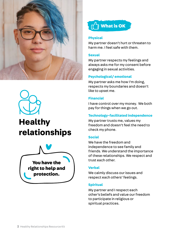



# **Healthy relationships**





## **Physical**

My partner doesn't hurt or threaten to harm me. I feel safe with them.

### **Sexual**

My partner respects my feelings and always asks me for my consent before engaging in sexual activities.

# **Psychological/ emotional**

My partner asks me how I'm doing, respects my boundaries and doesn't like to upset me.

## **Financial**

I have control over my money. We both pay for things when we go out.

# **Technology-facilitated independence**

My partner trusts me, values my freedom and doesn't feel the need to check my phone.

# **Social**

We have the freedom and independence to see family and friends. We understand the importance of these relationships. We respect and trust each other.

# **Verbal**

We calmly discuss our issues and respect each others' feelings.

## **Spiritual**

My partner and I respect each other's beliefs and value our freedom to participate in religious or spiritual practices.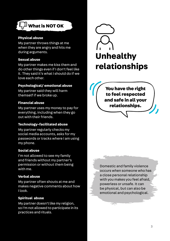

## **Physical abuse**

My partner throws things at me when they are angry and hits me during arguments.

# **Sexual abuse**

My partner makes me kiss them and do other things even if I don't feel like it. They said it's what I should do if we love each other.

# **Psychological/ emotional abuse**

My partner said they will harm themself if we broke up.

## **Financial abuse**

My partner uses my money to pay for everything, including when they go out with their friends.

## **Technology-facilitated abuse**

My partner regularly checks my social media accounts, asks for my passwords or tracks where I am using my phone.

## **Social abuse**

I'm not allowed to see my family and friends without my partner's permission or without them being with me.

# **Verbal abuse**

My partner often shouts at me and makes negative comments about how I look.

# **Spiritual abuse**

My partner doesn't like my religion, so I'm not allowed to participate in its practices and rituals.



You have the right to feel respected and safe in all your relationships.

Domestic and family violence occurs when someone who has a close personal relationship with you makes you feel afraid, powerless or unsafe. It can be physical, but can also be emotional and psychological.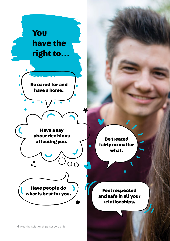

Be treated fairly no matter what.

Feel respected and safe in all your relationships.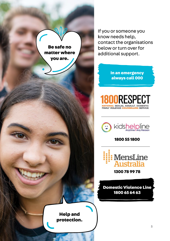

Help and protection. If you or someone you know needs help, contact the organisations below or turn over for additional support.

> In an emergency always call 000

1800RESPECT L SEXUAL ASSAULT, DOMESTIC FAMILY VIOLENCE COUNSELLIP



1800 55 1800



1300 78 99 78

Domestic Violence Line 1800 65 64 63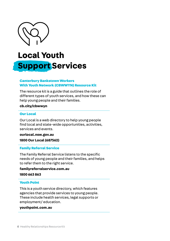

# **Local Youth Support Services**

## Canterbury Bankstown Workers With Youth Network (CBWWYN) Resource Kit

The resource kit is a guide that outlines the role of different types of youth services, and how these can help young people and their families.

#### **cb.city/cbwwyn**

#### Our Local

Our Local is a web directory to help young people find local and state-wide opportunities, activities, services and events.

**ourlocal.nsw.gov.au 1800 Our Local (687562)**

#### Family Referral Service

The Family Referral Service listens to the specific needs of young people and their families, and helps to refer them to the right service.

**familyreferralservice.com.au 1800 663 863**

#### Youth Point

This is a youth service directory, which features agencies that provide services to young people. These include health services, legal supports or employment/ education.

# **youthpoint.com.au**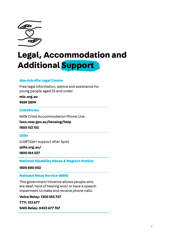

# **Legal, Accommodation and Additional Support**

### Marrickville Legal Centre

Free legal information, advice and assistance for young people aged 25 and under.

**mlc.org.au**

**9559 2899**

#### Link2Home

NSW Crisis Accommodation Phone Line.

**facs.nsw.gov.au/housing/help 1800 152 152**

## **Olife**

(LGBTIQA+ support after 3pm)

**qlife.org.au/** 

**1800 184 527**

National Disability Abuse & Neglect Hotline

**1800 880 052**

#### National Relay Service (NRS)

This government initiative allows people who are deaf, hard of hearing and/ or have a speech impairment to make and receive phone calls.

**Voice Relay: 1300 555 727 TTY: 133 677 SMS Relay: 0423 677 767**